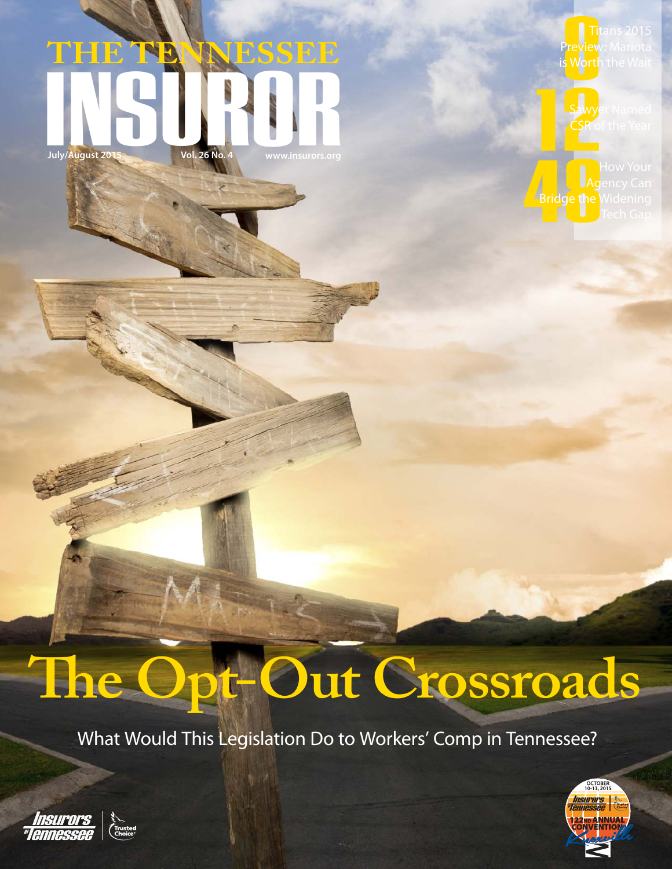# THE TENNESSEE **THE TENNESSEE** July/August 2015 Vol. 26 No. 4 **West Street West 2015**

**Preview**<br>Preview<br>s Worth Preview: Mariota i<mark>s Worth</mark> the Wait



Sawyer Named CSR of the Year

Bridge the Agency Can **Bridge the Wi**dening

# **The Opt-Out Crossroads**

What Would This Legislation Do to Workers' Comp in Tennessee?



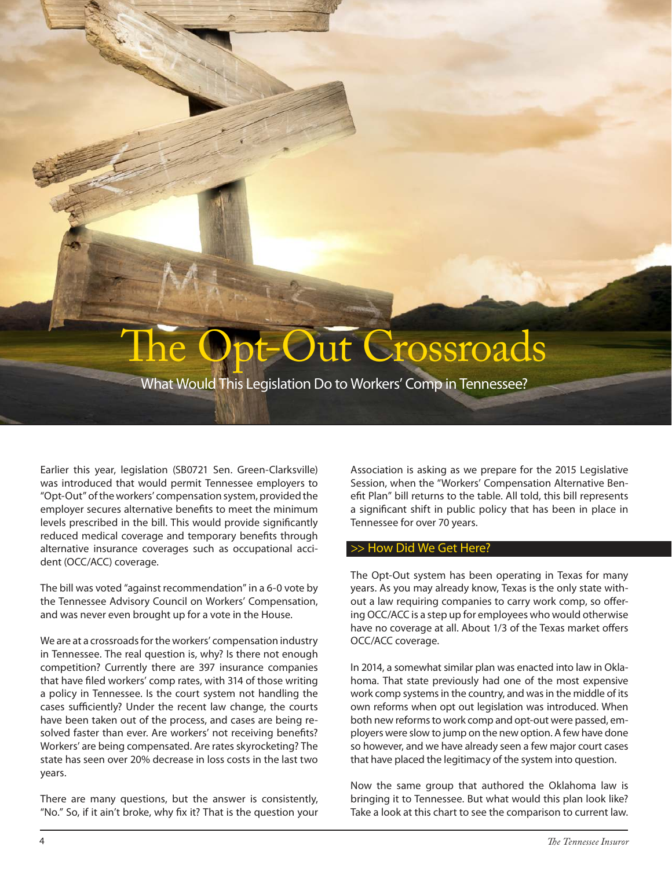## ut Crossroads

What Would This Legislation Do to Workers' Comp in Tennessee?

Earlier this year, legislation (SB0721 Sen. Green-Clarksville) was introduced that would permit Tennessee employers to "Opt-Out" of the workers' compensation system, provided the employer secures alternative benefits to meet the minimum levels prescribed in the bill. This would provide significantly reduced medical coverage and temporary benefits through alternative insurance coverages such as occupational accident (OCC/ACC) coverage.

The bill was voted "against recommendation" in a 6-0 vote by the Tennessee Advisory Council on Workers' Compensation, and was never even brought up for a vote in the House.

We are at a crossroads for the workers' compensation industry in Tennessee. The real question is, why? Is there not enough competition? Currently there are 397 insurance companies that have filed workers' comp rates, with 314 of those writing a policy in Tennessee. Is the court system not handling the cases sufficiently? Under the recent law change, the courts have been taken out of the process, and cases are being resolved faster than ever. Are workers' not receiving benefits? Workers' are being compensated. Are rates skyrocketing? The state has seen over 20% decrease in loss costs in the last two years.

There are many questions, but the answer is consistently, "No." So, if it ain't broke, why fix it? That is the question your

Association is asking as we prepare for the 2015 Legislative Session, when the "Workers' Compensation Alternative Benefit Plan" bill returns to the table. All told, this bill represents a significant shift in public policy that has been in place in Tennessee for over 70 years.

### >> How Did We Get Here?

The Opt-Out system has been operating in Texas for many years. As you may already know, Texas is the only state without a law requiring companies to carry work comp, so offering OCC/ACC is a step up for employees who would otherwise have no coverage at all. About 1/3 of the Texas market offers OCC/ACC coverage.

In 2014, a somewhat similar plan was enacted into law in Oklahoma. That state previously had one of the most expensive work comp systems in the country, and was in the middle of its own reforms when opt out legislation was introduced. When both new reforms to work comp and opt-out were passed, employers were slow to jump on the new option. A few have done so however, and we have already seen a few major court cases that have placed the legitimacy of the system into question.

Now the same group that authored the Oklahoma law is bringing it to Tennessee. But what would this plan look like? Take a look at this chart to see the comparison to current law.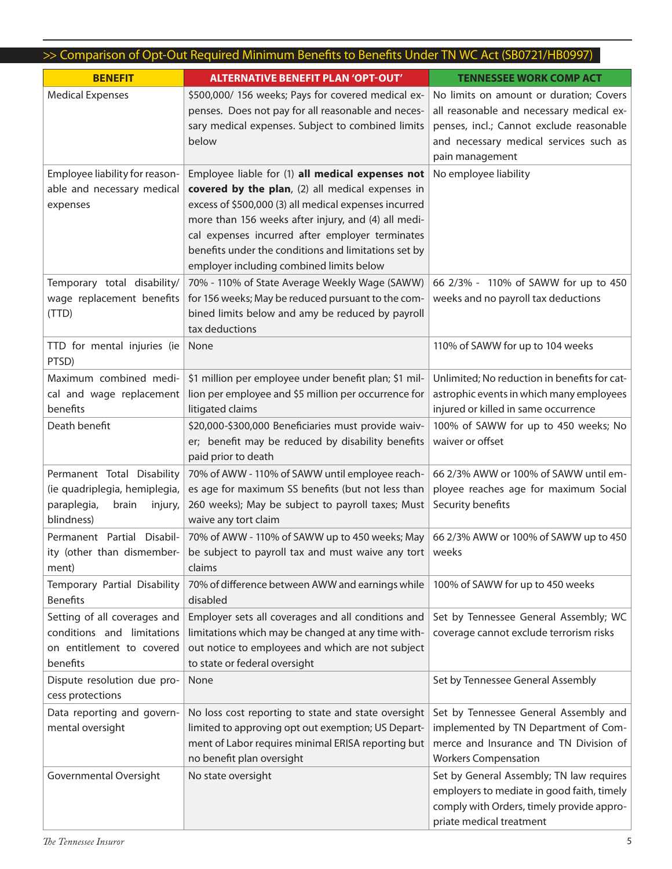| >> Comparison of Opt-Out Required Minimum Benefits to Benefits Under TN WC Act (SB0721/HB0997)               |                                                                                                                                                                                                                                                                                                                                                                             |                                                                                                                                                                                              |
|--------------------------------------------------------------------------------------------------------------|-----------------------------------------------------------------------------------------------------------------------------------------------------------------------------------------------------------------------------------------------------------------------------------------------------------------------------------------------------------------------------|----------------------------------------------------------------------------------------------------------------------------------------------------------------------------------------------|
| <b>BENEFIT</b>                                                                                               | <b>ALTERNATIVE BENEFIT PLAN 'OPT-OUT'</b>                                                                                                                                                                                                                                                                                                                                   | <b>TENNESSEE WORK COMP ACT</b>                                                                                                                                                               |
| <b>Medical Expenses</b>                                                                                      | \$500,000/ 156 weeks; Pays for covered medical ex-<br>penses. Does not pay for all reasonable and neces-<br>sary medical expenses. Subject to combined limits<br>below                                                                                                                                                                                                      | No limits on amount or duration; Covers<br>all reasonable and necessary medical ex-<br>penses, incl.; Cannot exclude reasonable<br>and necessary medical services such as<br>pain management |
| Employee liability for reason-<br>able and necessary medical<br>expenses                                     | Employee liable for (1) all medical expenses not<br>covered by the plan, (2) all medical expenses in<br>excess of \$500,000 (3) all medical expenses incurred<br>more than 156 weeks after injury, and (4) all medi-<br>cal expenses incurred after employer terminates<br>benefits under the conditions and limitations set by<br>employer including combined limits below | No employee liability                                                                                                                                                                        |
| Temporary total disability/<br>wage replacement benefits<br>(TTD)                                            | 70% - 110% of State Average Weekly Wage (SAWW)<br>for 156 weeks; May be reduced pursuant to the com-<br>bined limits below and amy be reduced by payroll<br>tax deductions                                                                                                                                                                                                  | 66 2/3% - 110% of SAWW for up to 450<br>weeks and no payroll tax deductions                                                                                                                  |
| TTD for mental injuries (ie<br>PTSD)                                                                         | None                                                                                                                                                                                                                                                                                                                                                                        | 110% of SAWW for up to 104 weeks                                                                                                                                                             |
| Maximum combined medi-<br>cal and wage replacement<br>benefits                                               | \$1 million per employee under benefit plan; \$1 mil-<br>lion per employee and \$5 million per occurrence for<br>litigated claims                                                                                                                                                                                                                                           | Unlimited; No reduction in benefits for cat-<br>astrophic events in which many employees<br>injured or killed in same occurrence                                                             |
| Death benefit                                                                                                | \$20,000-\$300,000 Beneficiaries must provide waiv-<br>er; benefit may be reduced by disability benefits<br>paid prior to death                                                                                                                                                                                                                                             | 100% of SAWW for up to 450 weeks; No<br>waiver or offset                                                                                                                                     |
| Permanent Total Disability<br>(ie quadriplegia, hemiplegia,<br>paraplegia,<br>brain<br>injury,<br>blindness) | 70% of AWW - 110% of SAWW until employee reach-<br>es age for maximum SS benefits (but not less than<br>260 weeks); May be subject to payroll taxes; Must<br>waive any tort claim                                                                                                                                                                                           | 66 2/3% AWW or 100% of SAWW until em-<br>ployee reaches age for maximum Social<br>Security benefits                                                                                          |
| Permanent Partial Disabil-<br>ity (other than dismember-<br>ment)                                            | 70% of AWW - 110% of SAWW up to 450 weeks; May   66 2/3% AWW or 100% of SAWW up to 450<br>be subject to payroll tax and must waive any tort weeks<br>claims                                                                                                                                                                                                                 |                                                                                                                                                                                              |
| Temporary Partial Disability<br><b>Benefits</b>                                                              | 70% of difference between AWW and earnings while<br>disabled                                                                                                                                                                                                                                                                                                                | 100% of SAWW for up to 450 weeks                                                                                                                                                             |
| Setting of all coverages and<br>conditions and limitations<br>on entitlement to covered<br>benefits          | Employer sets all coverages and all conditions and<br>limitations which may be changed at any time with-<br>out notice to employees and which are not subject<br>to state or federal oversight                                                                                                                                                                              | Set by Tennessee General Assembly; WC<br>coverage cannot exclude terrorism risks                                                                                                             |
| Dispute resolution due pro-<br>cess protections                                                              | None                                                                                                                                                                                                                                                                                                                                                                        | Set by Tennessee General Assembly                                                                                                                                                            |
| Data reporting and govern-<br>mental oversight                                                               | No loss cost reporting to state and state oversight<br>limited to approving opt out exemption; US Depart-<br>ment of Labor requires minimal ERISA reporting but<br>no benefit plan oversight                                                                                                                                                                                | Set by Tennessee General Assembly and<br>implemented by TN Department of Com-<br>merce and Insurance and TN Division of<br><b>Workers Compensation</b>                                       |
| Governmental Oversight                                                                                       | No state oversight                                                                                                                                                                                                                                                                                                                                                          | Set by General Assembly; TN law requires<br>employers to mediate in good faith, timely<br>comply with Orders, timely provide appro-<br>priate medical treatment                              |